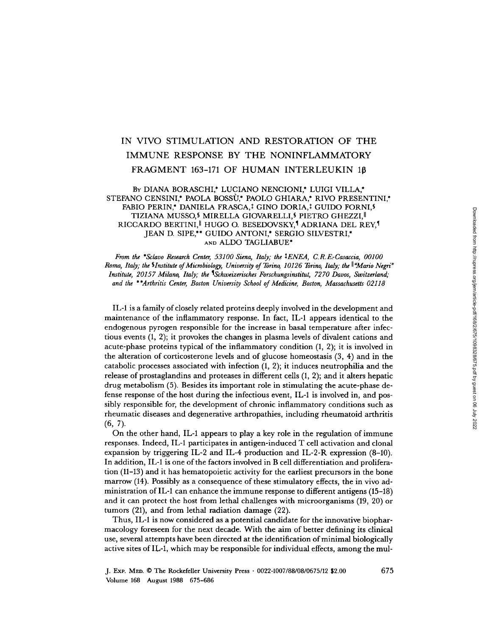# IN VIVO STIMULATION AND RESTORATION OF THE IMMUNE RESPONSE BY THE NONINFLAMMATORY FRAGMENT 163-171 OF HUMAN INTERLEUKIN 18

# BY DIANA BORASCHI,\* LUCIANO NENCIONI,\* LUIGI VILLA,\* STEFANO CENSINI,\* PAOLA BOSSU,\* PAOLO GHIARA,\* RIVO PRESENTINI,\* FABIO PERIN,\* DANIELA FRASCA,<sup>†</sup> GINO DORIA,<sup>†</sup> GUIDO FORNI,§ TIZIANA MUSSO,<sup>§</sup> MIRELLA GIOVARELLI,<sup>§</sup> PIETRO GHEZZI,<sup>||</sup> RICCARDO BERTINI,<sup>||</sup> HUGO O. BESEDOVSKY,<sup>1</sup> ADRIANA DEL REY,<sup>1</sup> JEAN D. SIPE,\*\* GUIDO ANTONI,\* SERGIO SILVESTRI,\* AND ALDO TAGLIABUE\*

From the \*Sclavo Research Center, 53100 Siena, Italy; the <sup>1</sup>ENEA, C.R.E.-Casaccia, 00100 Roma, Italy; the §Institute of Microbiology, University of Torino, 10126 Torino, Italy; the  $\mathbb{I}^*$ Mario Negri" Institute, 20157 Milano, Italy; the ISchweizerisches Forschungsinstitut, 7270 Davos, Switzerland; and the \*\*Arthritis Center, Boston University School of Medicine, Boston, Massachusetts 02118

IL-1 is a family ofclosely related proteins deeply involved in the development and maintenance of the inflammatory response. In fact, IL-1 appears identical to the endogenous pyrogen responsible for the increase in basal temperature after infectious events (1, 2) ; it provokes the changes in plasma levels of divalent cations and acute-phase proteins typical of the inflammatory condition  $(1, 2)$ ; it is involved in the alteration of corticosterone levels and of glucose homeostasis (3, 4) and in the catabolic processes associated with infection  $(1, 2)$ ; it induces neutrophilia and the release of prostaglandins and proteases in different cells  $(1, 2)$ ; and it alters hepatic drug metabolism (5). Besides its important role in stimulating the acute-phase defense response of the host during the infectious event, IL-1 is involved in, and possibly responsible for, the development of chronic inflammatory conditions such as rheumatic diseases and degenerative arthropathies, including rheumatoid arthritis  $(6, 7)$ .

On the other hand, IL-1 appears to play a key role in the regulation of immune responses. Indeed, IL-1 participates in antigen-induced T cell activation and clonal expansion by triggering IL-2 and IL-4 production and IL-2-R expression (8-10) . In addition,  $IL-1$  is one of the factors involved in  $B$  cell differentiation and proliferation (11-13) and it has hematopoietic activity for the earliest precursors in the bone marrow (14) . Possibly as a consequence of these stimulatory effects, the in vivo administration of IL-1 can enhance the immune response to different antigens (15-18) and it can protect the host from lethal challenges with microorganisms (19, 20) or tumors (21), and from lethal radiation damage (22) .

Thus, IL-1 is now considered as a potential candidate for the innovative biopharmacology foreseen for the next decade . With the aim of better defining its clinical use, several attempts have been directed at the identification of minimal biologically active sites of IL-1, which may be responsible for individual effects, among the mul-

J. Exp . MED. © The Rockefeller University Press - 0022-1007/88/08/0675/12 \$2.00 675 Volume 168 August 1988 675-686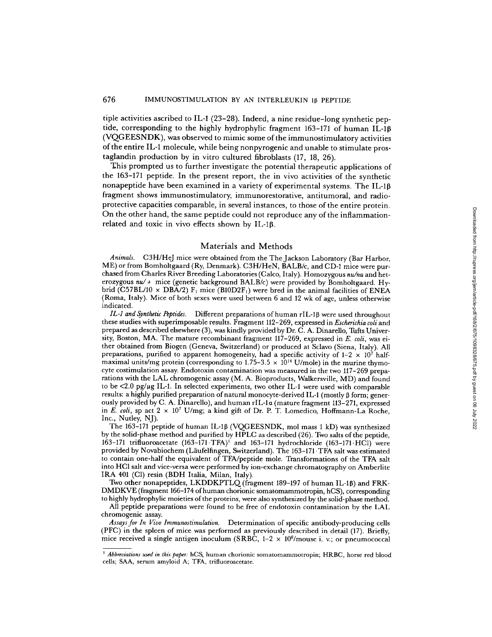tiple activities ascribed to IL-1 (23-28) . Indeed, a nine residue-long synthetic peptide, corresponding to the highly hydrophylic fragment 163-171 of human IL-10 (VQGEESNDK), was observed to mimic some of the immunostimulatory activities of the entire IL-1 molecule, while being nonpyrogenic and unable to stimulate prostaglandin production by in vitro cultured fibroblasts (17, 18, 26).

This prompted us to further investigate the potential therapeutic applications of the 163-171 peptide. In the present report, the in vivo activities of the synthetic nonapeptide have been examined in a variety of experimental systems. The IL-10 fragment shows immunostimulatory, immunorestorative, antitumoral, and radioprotective capacities comparable, in several instances, to those of the entire protein . On the other hand, the same peptide could not reproduce any of the inflammationrelated and toxic in vivo effects shown by IL-1ß.

#### Materials and Methods

Animals. C3H/HeJ mice were obtained from the The Jackson Laboratory (Bar Harbor, ME) or from Bomholtgaard (Ry, Denmark). C3H/HeN, BALB/c, and CD-1 mice were purchased from Charles River Breeding Laboratories (Calco, Italy). Homozygous nu/nu and heterozygous  $nu/$ + mice (genetic background BALB/c) were provided by Bomholtgaard. Hybrid (C57BL/10  $\times$  DBA/2) F<sub>1</sub> mice (B10D2F<sub>1</sub>) were bred in the animal facilities of ENEA (Roma, Italy) . Mice of both sexes were used between 6 and <sup>12</sup> wk of age, unless otherwise indicated.

IL-1 and Synthetic Peptides. Different preparations of human rIL-1 $\beta$  were used throughout these studies with superimposable results. Fragment 112-269, expressed in Escherichia coli and prepared as described elsewhere (3), was kindly provided by Dr. C . A. Dinarello, Tufts University, Boston, MA. The mature recombinant fragment 117-269, expressed in  $E.$  coli, was either obtained from Biogen (Geneva, Switzerland) or produced at Sclavo (Siena, Italy) . All preparations, purified to apparent homogeneity, had a specific activity of  $1-2 \times 10^7$  halfmaximal units/mg protein (corresponding to  $1.75-3.5 \times 10^{14}$  U/mole) in the murine thymocyte costimulation assay. Endotoxin contamination was measured in the two 117-269 preparations with the LAL chromogenic assay (M. A. Bioproducts, Walkersville, MD) and found to be  $\langle 2.0 \rangle$  pg/µg IL-1. In selected experiments, two other IL-1 were used with comparable  $r$ esults: a highly purified preparation of natural monocyte-derived IL-1 (mostly  $\beta$  form; generously provided by C. A. Dinarello), and human rIL-la (mature fragment 113-271, expressed in E. coli, sp act  $2 \times 10^7$  U/mg; a kind gift of Dr. P. T. Lomedico, Hoffmann-La Roche, Inc., Nutley, NJ). same peptide could not reproduce any of the inflammation-<br>vo effects shown by IL-1β.<br>
Meterials and Methods<br>
ice were channed from the The Jackson Laboratory (Bar Harbor.<br>
He (Rig, Denmark). C3H/HeN, BALRoc, and CDJ mise

The 163-171 peptide of human IL-10 (VQGEESNDK, mol mass <sup>1</sup> kD) was synthesized by the solid-phase method and purified by HPLC as described (26) . Two salts of the peptide, 163-171 trifluoroacetate (163-171 -TFA)' and 163-171 hydrochloride (163-171-HCl) were provided by Novabiochem (Laufelfingen, Switzerland) . The 163-171 -TFA salt was estimated to contain one-half the equivalent of TEA/peptide mole. Transformations of the TEA salt into HCl salt and vice-versa were performed by ion-exchange chromatography on Amberlite IRA 401 (Cl) resin (BDH Italia, Milan, Italy).

Two other nonapeptides, LKDDKPTLQ (fragment 189-197 of human IL-18) and FRK-DMDKVE (fragment 166-174 ofhuman chorionic somatomammotropin, hCS), corresponding to highly hydrophylic moieties of the proteins, were also synthesized by the solid-phase method.

All peptide preparations were found to be free of endotoxin contamination by the LAL chromogenic assay.

Assays for In Vivo Immunostimulation. Determination of specific antibody-producing cells (PFC) in the spleen of mice was performed as previously described in detail (17) . Briefly, mice received a single antigen inoculum (SRBC, 1–2  $\times$  10 $^8$ /mouse i. v.; or pneumococca

*Abbreviations used in this paper:* hCS, human chorionic somatomammotropin; HRBC, horse red blood cells; SAA, serum amyloid A; TFA, trifluoroacetate.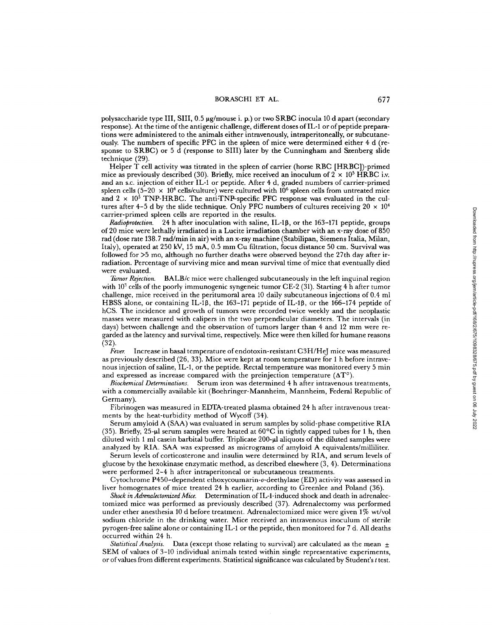polysaccharide type III, SIII, 0.5 µg/mouse i. p.) or two SRBC inocula 10 d apart (secondary response). At the time of the antigenic challenge, different doses of IL-1 or of peptide preparations were administered to the animals either intravenously, intraperitoneally, or subcutaneously. The numbers of specific PFC in the spleen of mice were determined either 4 d (response to SRBC) or <sup>5</sup> <sup>d</sup> (response to SIII) later by the Cunningham and Szenberg slide technique (29)

Helper T cell activity was titrated in the spleen of carrier (horse RBC [HRBC])-primed mice as previously described (30). Briefly, mice received an inoculum of  $2 \times 10^5$  HRBC i.v. and an s.c. injection of either IL-1 or peptide. After 4 d, graded numbers ofcarrier-primed spleen cells  $(5-20 \times 10^4$  cells/culture) were cultured with  $10^6$  spleen cells from untreated mice and  $2 \times 10^5$  TNP-HRBC. The anti-TNP-specific PFC response was evaluated in the cultures after 4-5 d by the slide technique. Only PFC numbers of cultures receiving  $20 \times 10^4$ carrier-primed spleen cells are reported in the results.

Radioprotection. 24 h after inoculation with saline, IL-1β, or the 163-171 peptide, groups of 20 mice were lethally irradiated in a Lucite irradiation chamber with an x-ray dose of 850 rad (dose rate 138.7 rad/min in air) with an x-ray machine (Stabilipan, Siemens Italia, Milan, Italy), operated at 250 kV, 15 mA, 0.5 mm Cu filtration, focus distance 50 cm. Survival was<br>6 Numerical for S.5 means that the content of what has some theorem has not been also 27th december in followed for >5 mo, although no further deaths were observed beyond the 27th day after irradiation. Percentage of surviving mice and mean survival time of mice that eventually died were evaluated.<br>Tumor Rejection.

 $BALB/c$  mice were challenged subcutaneously in the left inguinal region with  $10<sup>3</sup>$  cells of the poorly immunogenic syngeneic tumor CE-2 (31). Starting 4 h after tumor challenge, mice received in the peritumoral area 10 daily subcutaneous injections of 0.4 ml HBSS alone, or containing IL-1 $\beta$ , the 163-171 peptide of IL-1 $\beta$ , or the 166-174 peptide of hCS. The incidence and growth of tumors were recorded twice weekly and the neoplastic masses were measured with calipers in the two perpendicular diameters . The intervals (in days) between challenge and the observation of tumors larger than <sup>4</sup> and <sup>12</sup> mm were regarded as the latency and survival time, respectively. Mice were then killed for humane reasons (32). the test of test . Downloaded from https://rupress.org/jem/article-pdf/2022<br>
The second from http://rupress.org/jem/article-pdf/2022<br>
The second of the second staticle of the second static in the second static in the secon

Fever. Increase in basal temperature of endotoxin-resistant  $C3H/HeJ$  mice was measured as previously described (26, 33) . Mice were kept at room temperature for 1 h before intravenous injection of saline, IL-1, or the peptide. Rectal temperature was monitored every 5 min and expressed as increase compared with the preinjection temperature  $(\Delta T^{\circ})$ .

Biochemical Determinations. Serum iron was determined 4 h after intravenous treatments with a commercially available kit (Boehringer-Mannheim, Mannheim, Federal Republic of Germany).

Fibrinogen was measured in EDTA-treated plasma obtained 24 h after intravenous treatments by the heat-turbidity method of Wycoff (34).

Serum amyloid A (SAA) was evaluated in serum samples by solid-phase competitive RIA (35). Briefly, 25-µl serum samples were heated at  $60^{\circ}\text{C}$  in tightly capped tubes for 1 h, then diluted with <sup>1</sup> ml casein barbital buffer. Triplicate 200-gl aliquots ofthe diluted samples were analyzed by RIA. SAA was expressed as micrograms of amyloid A equivalents/milliliter.

Serum levels of corticosterone and insulin were determined by RIA, and serum levels of glucose by the hexokinase enzymatic method, as described elsewhere (3, 4) . Determinations were performed 2-4 h after intraperitoneal or subcutaneous treatments .

Cytochrome P450-dependent ethoxycoumarin-o-deethylase (ED) activity was assessed in liver homogenates of mice treated 24 h earlier, according to Greenlee and Poland (36) .

Shock in Adrenalectomized Mice. Determination of IL-1-induced shock and death in adrenalectomized mice was performed as previously described (37) . Adrenalectomy was performed under ether anesthesia 10 d before treatment . Adrenalectomized mice were given 1% wt/vol sodium chloride in the drinking water. Mice received an intravenous inoculum of sterile pyrogen-free saline alone or containing IL-1 or the peptide, then monitored for 7 d. All deaths occurred within 24 h.

Statistical Analysis. Data (except those relating to survival) are calculated as the mean  $\pm$ SEM of values of 3-10 individual animals tested within single representative experiments, or of values from different experiments. Statistical significance was calculated by Student's t test.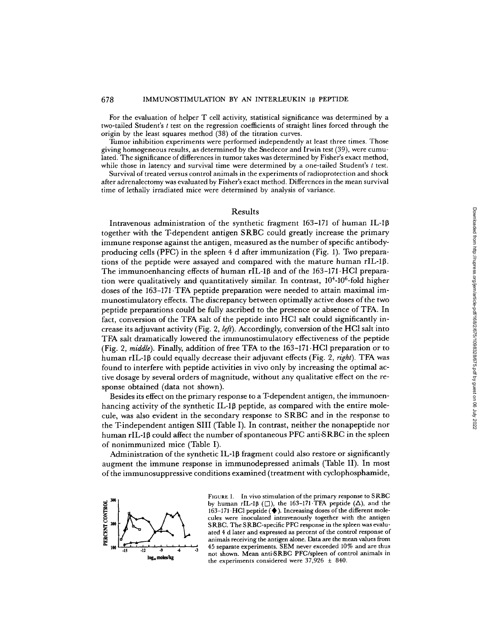For the evaluation of helper T cell activity, statistical significance was determined by a two-tailed Student's  $t$  test on the regression coefficients of straight lines forced through the origin by the least squares method (38) of the titration curves .

Tumor inhibition experiments were performed independently at least three times. Those giving homogeneous results, as determined by the Snedecor and Irwin test (39), were cumulated. The significance of differences in tumor takes was determined by Fisher's exact method, while those in latency and survival time were determined by a one-tailed Student's <sup>t</sup> test.

Survival of treated versus control animals in the experiments of radioprotection and shock after adrenalectomy was evaluated by Fisher's exact method. Differences in the mean survival time of lethally irradiated mice were determined by analysis of variance.

#### Results

Intravenous administration of the synthetic fragment 163-171 of human IL-1 $\beta$ together with the Tdependent antigen SRBC could greatly increase the primary immune response against the antigen, measured as the number of specific antibodyproducing cells (PFC) in the spleen 4 d after immunization (Fig. 1). Two preparations of the peptide were assayed and compared with the mature human  $rIL-1\beta$ . The immunoenhancing effects of human rIL-1 $\beta$  and of the 163-171.HCl preparation were qualitatively and quantitatively similar. In contrast,  $10<sup>4</sup>$ -10<sup>6</sup>-fold higher doses of the 163-171 TFA peptide preparation were needed to attain maximal immunostimulatory effects. The discrepancy between optimally active doses of the two peptide preparations could be fully ascribed to the presence or absence of TFA. In fact, conversion of the TFA salt of the peptide into HCl salt could significantly increase its adjuvant activity (Fig. 2, *left*). Accordingly, conversion of the HCl salt into TFA salt dramatically lowered the immunostimulatory effectiveness of the peptide (Fig. 2, middle). Finally, addition of free TFA to the  $163-171$  HCl preparation or to human rIL-1 $\beta$  could equally decrease their adjuvant effects (Fig. 2, right). TFA was found to interfere with peptide activities in vivo only by increasing the optimal active dosage by several orders of magnitude, without any qualitative effect on the response obtained (data not shown). of human IL-1 $\beta$ <br>
ease the primary<br>
specific antibody-<br>
1). Two prepara-<br>
te human rIL-1 $\beta$ .<br>
71. HCl prepara-<br>
tain anximal im-<br>
we doses of the two<br>
ssence of TFA. In<br>
simplicantly in-<br>
designificantly in-<br>
for the HC

Besides its effect on the primary response to a T-dependent antigen, the immunoenhancing activity of the synthetic IL-1 $\beta$  peptide, as compared with the entire molecule, was also evident in the secondary response to SRBC and in the response to the Tindependent antigen SIII (Table I) . In contrast, neither the nonapeptide nor human rIL-1 $\beta$  could affect the number of spontaneous PFC anti-SRBC in the spleen of nonimmunized mice (Table I).

Administration of the synthetic IL-1 $\beta$  fragment could also restore or significantly augment the immune response in immunodepressed animals (Table II). In most ofthe immunosuppressive conditions examined (treatment with cyclophosphamide,



FIGURE 1. In vivo stimulation of the primary response to SRBC by human rIL-1 $\beta$  ( $\Box$ ), the 163-171 TFA peptide ( $\Delta$ ), and the 163-171 - HCl peptide (\* ). Increasing doses of the different molecules were inoculated intravenously together with the antigen SRBC. The SRBC-specific PFC response in the spleen was evaluated 4 d later and expressed as percent of the control response of animals receiving the antigen alone. Data are the mean values from 45 separate experiments. SEM never exceeded  $10\%$  and are thus not shown. Mean antiSRBC PFC/spleen of control animals in the experiments considered were  $37,926 \pm 840$ .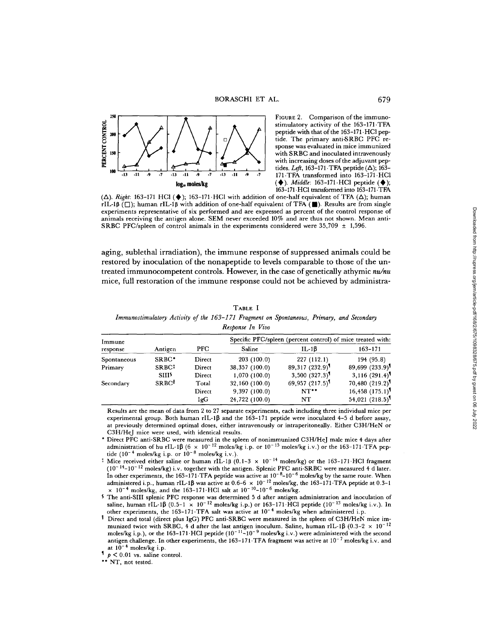

FIGURE 2. Comparison of the immunostimulatory activity of the 163-171 .TFA peptide with that of the 163-171 HCl peptide. The primary anti-SRBC PFC response was evaluated in mice immunized with SRBC and inoculated intravenously with increasing doses of the adjuvant peptides. Left, 163-171 TFA peptide  $(\Delta)$ ; 163-). *Middle*: 163-171 HCl peptide (♦); 163-171 HCl transformed into 163-171 TFA

 $(\Delta)$ . Right: 163-171 HCl ( $\blacklozenge$ ); 163-171 HCl with addition of one-half equivalent of TFA  $(\Delta)$ ; human rIL-1 $\beta$  ( $\square$ ); human rIL-1 $\beta$  with addition of one-half equivalent of TFA ( $\square$ ). Results are from single experiments representative of six performed and are expressed as percent of the control response of animals receiving the antigen alone. SEM never exceeded 10% and are thus not shown. Mean anti-SRBC PFC/spleen of control animals in the experiments considered were  $35,709 \pm 1,596$ .

aging, sublethal irradiation), the immune response of suppressed animals could be restored by inoculation of the nonapeptide to levels comparable to those of the untreated immunocompetent controls. However, in the case of genetically athymic  $nu/nu$ mice, full restoration of the immune response could not be achieved by administra-

|                                                                                           |  | TABLE 1          |  |  |
|-------------------------------------------------------------------------------------------|--|------------------|--|--|
| Immunostimulatory Activity of the 163–171 Fragment on Spontaneous, Primary, and Secondary |  |                  |  |  |
|                                                                                           |  | Response In Vivo |  |  |

| Immune      |                          |        | Specific PFC/spleen (percent control) of mice treated with: |                                |                                 |  |  |
|-------------|--------------------------|--------|-------------------------------------------------------------|--------------------------------|---------------------------------|--|--|
| response    | Antigen                  | PFC.   | Saline                                                      | IL-1 $\beta$                   | $163 - 171$                     |  |  |
| Spontaneous | SRBC*                    | Direct | 203(100.0)                                                  | 227(112.1)                     | 194 (95.8)                      |  |  |
| Primary     | SRBC <sup>1</sup>        | Direct | 38,357 (100.0)                                              | 89,317 (232.9)                 | $89,699$ $(233.9)$ <sup>1</sup> |  |  |
|             | <b>SIII</b> <sup>5</sup> | Direct | 1,070 (100.0)                                               | $3,500$ $(327.3)$ <sup>1</sup> | $3,116$ (291.4) <sup>1</sup>    |  |  |
| Secondary   | <b>SRBC</b> <sup>[</sup> | Total  | 32,160 (100.0)                                              | 69,957 (217.5)                 | 70,480 (219.2)                  |  |  |
|             |                          | Direct | 9,397(100.0)                                                | $NT**$                         | $16,458$ $(175.1)$ <sup>1</sup> |  |  |
|             |                          | IgG    | 24,722 (100.0)                                              | NT                             | 54,021 (218.5)                  |  |  |

Results are the mean of data from 2 to 27 separate experiments, each including three individual mice per  $\epsilon$ xperimental group. Both human rIL-1 $\beta$  and the 163-171 peptide were inoculated 4-5 d before assay, at previously determined optimal doses, either intravenously or intraperitoneally . Either C3H/HeN or C3H/HeJ mice were used, with identical results.

- Direct PFC anti-SRBC were measured in the spleen of nonimmunized C3H/HeJ male mice 4 days after administration of hu rIL-1 $\beta$  (6  $\times$  10<sup>-12</sup> moles/kg i.p. or 10<sup>-15</sup> moles/kg i.v.) or the 163-171 TFA pep-<br>tide (10<sup>-4</sup> moles/kg i.p. or 10<sup>-8</sup> moles/kg i.v.).
- <sup>‡</sup> Mice received either saline or human rIL-1 $\beta$  (0.1-3  $\times$  10<sup>-14</sup> moles/kg) or the 163-171 HCl fragment  $(10^{-14}-10^{-12} \text{ moles/kg})$  i.v. together with the antigen. Splenic PFC anti-SRBC were measured 4 d later. In other experiments, the 163-171 TFA peptide was active at  $10^{-8}$ -10<sup>-6</sup> moles/kg by the same route. When administered i.p., human rIL-1B was active at 0.6-6  $\times 10^{-12}$  moles/kg, the 163-171 TFA peptide at 0.3-1  $\times$  10<sup>-4</sup> moles/kg, and the 163-171 HCl salt at 10<sup>-10</sup>-10<sup>-6</sup> moles/kg.
- <sup>5</sup> The anti-SIII Splenic PFC response was determined <sup>5</sup> d after antigen administration and inoculation of saline, human rIL-1 $\beta$  (0.5-1  $\times$  10<sup>-12</sup> moles/kg i.p.) or 163-171 HCl peptide (10<sup>-13</sup> moles/kg i.v.). In other experiments, the 163-171 TFA salt was active at  $10^{-4}$  moles/kg when administered i.p.
- Direct and total (direct plus IgG) PFC anti-SRBC were measured in the spleen of C3H/HeN mice immunized twice with SRBC, 4 d after the last antigen inoculum. Saline, human rIL-1 $\beta$  (0.3-2  $\times$  10<sup>-12</sup> moles/kg i.p.), or the 163-171 HCl peptide  $(10^{-11} - 10^{-9}$  moles/kg i.v.) were administered with the second antigen challenge. In other experiments, the 163-171 TFA fragment was active at  $10^{-7}$  moles/kg i.v. and at  $10^{-4}$  moles/kg i.p.

 $p < 0.01$  vs. saline control.

\*\* NT, not tested.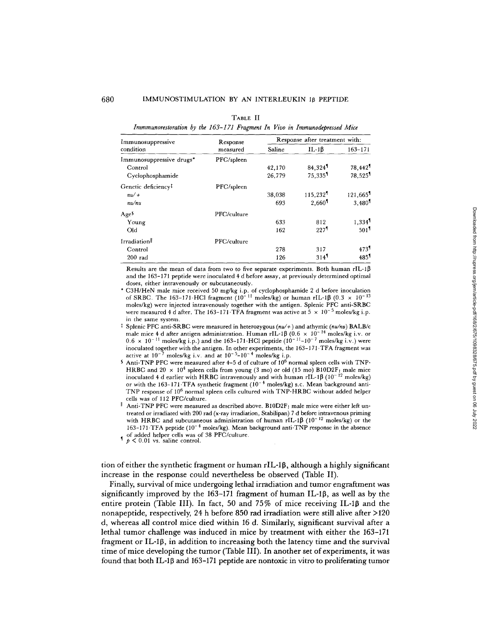#### TABLE II

Immmunorestoration by the 163-171 Fragment In Vivo in Immunodepressed Mice

| Immunosuppressive               | Response    | Response after treatment with: |                       |                      |  |
|---------------------------------|-------------|--------------------------------|-----------------------|----------------------|--|
| condition                       | measured    | Saline                         | $IL-1B$               | $163 - 171$          |  |
| Immunosuppressive drugs*        | PFC/spleen  |                                |                       |                      |  |
| Control                         |             | 42,170                         | 84.324                | 78.442               |  |
| Cyclophosphamide                |             | 26,779                         | $75.335$ <sup>1</sup> | 78.525               |  |
| Genetic deficiency <sup>1</sup> | PFC/spleen  |                                |                       |                      |  |
| $nu/+$                          |             | 38,038                         | 115,232               | 121,665              |  |
| nu/nu                           |             | 693                            | 2.660                 | 3,480 <sup>1</sup>   |  |
| Ages                            | PFC/culture |                                |                       |                      |  |
| Young                           |             | 633                            | 812                   | $1,334$ <sup>1</sup> |  |
| Old                             |             | 162                            | $227$ <sup>1</sup>    | 501 <sup>1</sup>     |  |
| Irradiation                     | PFC/culture |                                |                       |                      |  |
| Control                         |             | 278                            | 317                   | 473                  |  |
| $200$ rad                       |             | 126                            | 314 <sup>1</sup>      | 485                  |  |

Results are the mean of data from two to five separate experiments. Both human rIL-1 $\beta$ and the 163-171 peptide were inoculated 4 d before assay, at previously determined optimal doses, either intravenously or subcutaneously.

C3H/HeN male mice received 50 mg/kg i.p. of cyclophosphamide 2 d before inoculation<br>of SRBC. The 163-171·HCl fragment (10<sup>-11</sup> moles/kg) or human rIL-1 $\beta$  (0.3  $\times$  10<sup>-13</sup> moles/kg) were injected intravenously together with the antigen . Splenic PFC anti-SRBC were measured 4 d after. The 163-171 TFA fragment was active at  $5 \times 10^{-5}$  moles/kg i.p. in the same system .

<sup> $\ddagger$ </sup> Splenic PFC anti-SRBC were measured in heterozygous ( $nu/+$ ) and athymic ( $nu/nu$ ) BALB/c male mice 4 d after antigen administration. Human rIL-1 $\beta$  (0.6  $\times$  10<sup>-14</sup> moles/kg i.v. or  $0.6 \times 10^{-11}$  moles/kg i.p.) and the 163-171 HCl peptide  $(10^{-11}-10^{-7})$  moles/kg i.v.) were inoculated together with the antigen. In other experiments, the 163-171 TFA fragment was active at  $10^{-7}$  moles/kg i.v. and at  $10^{-5}$ – $10^{-4}$  moles/kg i.p.

- $\frac{1}{2}$  Anti-TNP PFC were measured after 4-5 d of culture of  $10^6$  normal spleen cells with TNP-HRBC and 20  $\times$  10<sup>4</sup> spleen cells from young (3 mo) or old (15 mo) B10D2F<sub>1</sub> male mice inoculated 4 d earlier with HRBC intravenously and with human rIL-1 $\beta$  (10<sup>-12</sup> moles/kg) or with the 163-171. TFA synthetic fragment  $(10^{-4}$  moles/kg) s.c. Mean background anti-TNP response of  $10^6$  normal spleen cells cultured with TNP-HRBC without added helper cells was of 112 PFC/culture.
- $\parallel$  Anti-TNP PFC were measured as described above. B10D2F<sub>1</sub> male mice were either left untreated or irradiated with 200 rad (x-ray irradiation, Stabilipan) 7 d before intravenous priming with HRBC and subcutaneous administration of human rIL-1 $\beta$  (10<sup>-12</sup> moles/kg) or the 163-171 TFA peptide ( $10^{-4}$  moles/kg). Mean background anti-TNP response in the absence of added helper cells was of 38 PFC/culture.<br> $\uparrow p < 0.01$  vs. saline control.

tion of either the synthetic fragment or human rIL-1β, although a highly significant increase in the response could nevertheless be observed (Table II).

Finally, survival of mice undergoing lethal irradiation and tumor engraftment was significantly improved by the 163-171 fragment of human IL-1 $\beta$ , as well as by the entire protein (Table III). In fact, 50 and 75% of mice receiving IL-1 $\beta$  and the nonapeptide, respectively, 24 h before 850 rad irradiation were still alive after >120 d, whereas all control mice died within 16 d. Similarly, significant survival after a lethal tumor challenge was induced in mice by treatment with either the 163-171 fragment or IL-1 $\beta$ , in addition to increasing both the latency time and the survival time ofmice developing the tumor (Table III) . In another set of experiments, it was found that both IL-1 0 and 163-171 peptide are nontoxic in vitro to proliferating tumor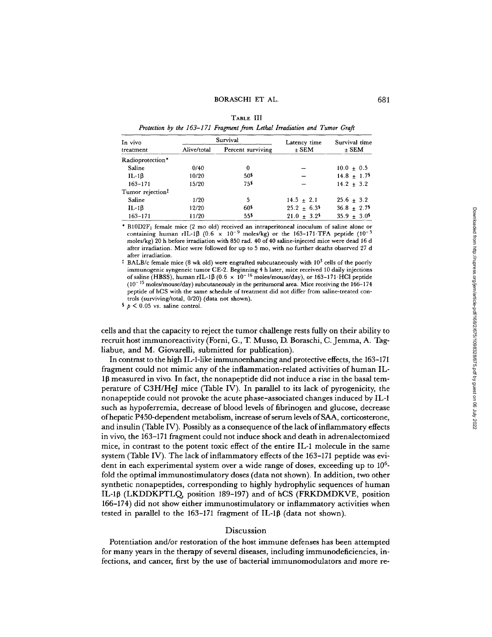| A R I<br><br>__<br>÷<br>٠ |  |
|---------------------------|--|
|---------------------------|--|

Protection by the 163-171 Fragment from Lethal Irradiation and Tumor Graft

| In vivo                      |             | Survival          | Latency time         | Survival time<br>$+$ SEM    |  |
|------------------------------|-------------|-------------------|----------------------|-----------------------------|--|
| treatment                    | Alive/total | Percent surviving | $\pm$ SEM            |                             |  |
| Radioprotection*             |             |                   |                      |                             |  |
| Saline                       | 0/40        | 0                 |                      | $10.0 \pm 0.5$              |  |
| $IL-1\beta$                  | 10/20       | 50\$              |                      | $14.8 \pm 1.7$ <sup>§</sup> |  |
| $163 - 171$                  | 15/20       | 755               |                      | $14.2 + 3.2$                |  |
| Tumor rejection <sup>1</sup> |             |                   |                      |                             |  |
| Saline                       | 1/20        | 5                 | $14.5 \pm 2.1$       | $25.6 + 3.2$                |  |
| $IL-1B$                      | 12/20       | 60 <sup>s</sup>   | $25.2 + 6.3$         | $36.8 \pm 2.7$              |  |
| $163 - 171$                  | 11/20       | 555               | $21.0 + 3.2^{\circ}$ | $35.9 \pm 3.0^{\circ}$      |  |

` B10132F1 female mice (2 mo old) received an intraperitoneal inoculum of saline alone or containing human rIL-1 $\beta$  (0.6  $\times$  10<sup>-9</sup> moles/kg) or the 163-171 TFA peptide (10<sup>-5</sup> moles/kg) 20 h before irradiation with 850 rad . 40 of 40 saline-injected mice were dead 16 d after irradiation. Mice were followed for up to 5 mo, with no further deaths observed 27 d after irradiation .

<sup> $\ddagger$ </sup> BALB/c female mice (8 wk old) were engrafted subcutaneously with 10<sup>3</sup> cells of the poorly immunogenic syngeneic tumor CE-2 . Beginning 4 h later, mice received 10 daily injections of saline (HBSS), human rIL-1β (0.6  $\times$  10<sup>-16</sup> moles/mouse/day), or 163-171 HCl peptide  $(10<sup>-15</sup>$  moles/mouse/day) subcutaneously in the peritumoral area. Mice receiving the 166-174 peptide of hCS with the same schedule of treatment did not differ from saline-treated controls (surviving/total, 0/20) (data not shown).

 $\frac{1}{2}$   $\frac{1}{2}$   $\frac{1}{2}$   $\frac{1}{2}$  vs. saline control.

cells and that the capacity to reject the tumor challenge rests fully on their ability to recruit host immunoreactivity (Forni, G., T Musso, D. Boraschi, C. Jemma, A. Tagliabue, and M. Giovarelli, submitted for publication).

In contrast to the high IL-1-like immunoenhancing and protective effects, the 163-171 fragment could not mimic any of the inflammation-related activities of human IL- $1\beta$  measured in vivo. In fact, the nonapeptide did not induce a rise in the basal temperature of C3H/HeJ mice (Table IV). In parallel to its lack of pyrogenicity, the nonapeptide could not provoke the acute phase-associated changes induced by IL-1 such as hypoferremia, decrease of blood levels of fibrinogen and glucose, decrease of hepatic P450-dependent metabolism, increase ofserum levels ofSAA, corticosterone, and insulin (Table IV). Possibly as a consequence ofthe lack ofinflammatory effects in vivo, the 163-171 fragment could not induce shock and death in adrenalectomized mice, in contrast to the potent toxic effect of the entire IL-1 molecule in the same system (Table IV). The lack of inflammatory effects of the 163-171 peptide was evident in each experimental system over a wide range of doses, exceeding up to  $10<sup>6</sup>$ fold the optimal immunostimulatory doses (data not shown) . In addition, two other synthetic nonapeptides, corresponding to highly hydrophylic sequences of human IL-10 (LKDDKPTLQ, position 189-197) and of hCS (FRKDMDKVE, position 166-174) did not show either immunostimulatory or inflammatory activities when tested in parallel to the 163-171 fragment of IL-1 $\beta$  (data not shown).

### Discussion

Potentiation and/or restoration of the host immune defenses has been attempted for many years in the therapy of several diseases, including immunodeficiencies, infections, and cancer, first by the use of bacterial immunomodulators and more re-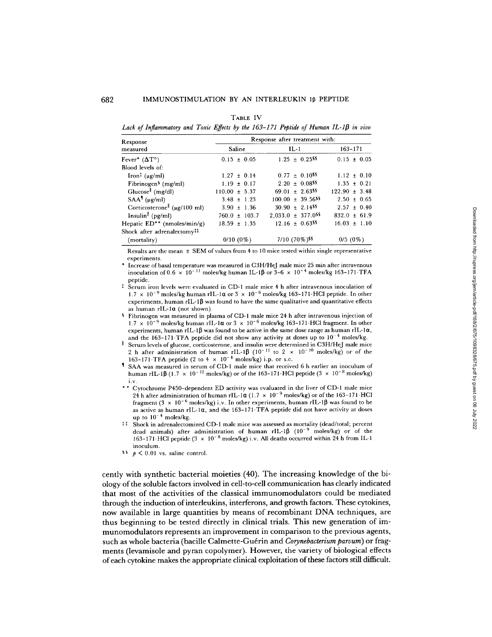#### TABLE IV

Lack of Inflammatory and Toxic Effects by the 163-171 Peptide of Human IL-1 $\beta$  in vivo

| Response                                                               | Response after treatment with: |                                    |                   |  |  |
|------------------------------------------------------------------------|--------------------------------|------------------------------------|-------------------|--|--|
| measured                                                               | Saline                         | $IL-1$                             | $163 - 171$       |  |  |
| Fever* $(\Delta T^{\circ})$                                            | $0.15 \pm 0.05$                | $1.25 \pm 0.25$ <sup>\$\$</sup>    | $0.15 \pm 0.05$   |  |  |
| Blood levels of:                                                       |                                |                                    |                   |  |  |
| $\lceil \text{ron}^{\ddagger} \left( \mu g / \text{ml} \right) \rceil$ | $1.27 \pm 0.14$                | $0.77 \pm 0.10$ <sup>\$\$</sup>    | $1.12 \pm 0.10$   |  |  |
| Fibrinogen <sup>§</sup> (mg/ml)                                        | $1.19 \pm 0.17$                | $2.20 \pm 0.08$ <sup>\$\$</sup>    | $1.35 \pm 0.21$   |  |  |
| $Glucose$ <sup><math>\parallel</math></sup> (mg/dl)                    | $110.00 \pm 5.37$              | $69.01 \pm 2.63$ <sup>55</sup>     | $122.90 \pm 3.48$ |  |  |
| $SAA1 (\mu g/ml)$                                                      | $3.48 \pm 1.23$                | $100.00 \pm 39.56$ <sup>\$\$</sup> | $2.50 \pm 0.65$   |  |  |
| Corticosterone $(\mu g/100 \text{ ml})$                                | $3.90 \pm 1.36$                | $30.90 \pm 2.14$ <sup>55</sup>     | $2.57 \pm 0.40$   |  |  |
| Insulin <sup><math>\parallel</math></sup> (pg/ml)                      | $760.0 \pm 103.7$              | $2,033.0 \pm 377.0$ <sup>55</sup>  | $832.0 \pm 61.9$  |  |  |
| Hepatic $ED^{**}$ (nmoles/min/g)                                       | $18.59 \pm 1.35$               | $12.16 \pm 0.63$ <sup>\$\$</sup>   | $16.03 \pm 1.10$  |  |  |
| Shock after adrenalectomy <sup><math>\ddagger\ddagger</math></sup>     |                                |                                    |                   |  |  |
| (mortality)                                                            | $0/10(0\%)$                    | $7/10$ (70%) <sup>\sset</sup>      | $0/5(0\%)$        |  |  |

Results are the mean ± SEM of values from 4 to 10 mice tested within single representative experiments .

Increase of basal temperature was measured in C3H/HeJ male mice 25 min after intravenous inoculation of  $0.6 \times 10^{-11}$  moles/kg human IL-1 $\beta$  or 3–6  $\times$  10<sup>–4</sup> moles/kg 163–171 TFA peptide .

<sup>1</sup> Serum iron levels were evaluated in CD-1 male mice 4 h after intravenous inoculation of  $1.7 \times 10^{-9}$  moles/kg human rIL-1 $\alpha$  or 3  $\times$  10<sup>-6</sup> moles/kg 163-171 HCl peptide. In other experiments, human rIL-1 $\beta$  was found to have the same qualitative and quantitative effects as human  $rIL-1\alpha$  (not shown).

 $\overline{\mathbf{s}}$ Fibrinogen was measured in plasma of CD-1 male mice 24 h after intravenous injection of  $1.7\,\times\,10^{-9}$  moles/kg human rIL-1 $\alpha$  or  $3\,\times\,10^{-6}$  moles/kg 163–171·HCl fragment. In other experiments, human rIL-1 $\beta$  was found to be active in the same dose range as human rIL-1 $\alpha$ , and the 163-171 TFA peptide did not show any activity at doses up to  $10^{-4}$  moles/kg.

Serum levels of glucose, corticosterone, and insulin were determined in C3H/HeJ male mice 2 h after administration of human rIL-1 $\beta$  (10<sup>-11</sup> to 2 x 10<sup>-10</sup> moles/kg) or of the 163-171 TFA peptide (2 to  $4 \times 10^{-4}$  moles/kg) i.p. or s.c.

- SAA was measured in serum of CD-1 male mice that received 6 h earlier an inoculum of human rIL-1 $\beta$  (1.7  $\times$  10<sup>-12</sup> moles/kg) or of the 163-171 HCl peptide (3  $\times$  10<sup>-8</sup> moles/kg)
- <sup>i</sup> .v . " " Cytochrome P450-dependent ED activity was evaluated in the liver of CD-1 male mice 24 h after administration of human rIL-1 $\alpha$  (1.7  $\times$  10<sup>-9</sup> moles/kg) or of the 163-171 HCl fragment (3  $\times$  10<sup>-6</sup> moles/kg) i.v. In other experiments, human rIL-1 $\beta$  was found to be as active as human rIL-1 $\alpha$ , and the 163-171. TFA peptide did not have activity at doses up to  $10^{-4}$  moles/kg.
- <sup>11</sup> Shock in adrenalectomized CD-1 male mice was assessed as mortality (dead/total; percent dead animals) after administration of human rIL-1 $\beta$  (10<sup>-9</sup> moles/kg) or of the 163–171 HCl peptide (3  $\times$  10<sup>-8</sup> moles/kg) i.v. All deaths occurred within 24 h from IL-1 inoculum .
- $\frac{1}{2}$   $\frac{1}{2}$   $\frac{1}{2}$   $\frac{1}{2}$  vs. saline control.

cently with synthetic bacterial moieties (40) . The increasing knowledge of the biology ofthe soluble factors involved in cell-to-cell communication has clearly indicated that most of the activities of the classical immunomodulators could be mediated through the induction of interleukins, interferons, and growth factors. These cytokines, now available in large quantities by means of recombinant DNA techniques, are thus beginning to be tested directly in clinical trials . This new generation of immunomodulators represents an improvement in comparison to the previous agents, such as whole bacteria (bacille Calmette-Guérin and Corynebacterium parvum) or fragments (levamisole and pyran copolymer). However, the variety of biological effects ofeach cytokine makes the appropriate clinical exploitation of these factors still difficult.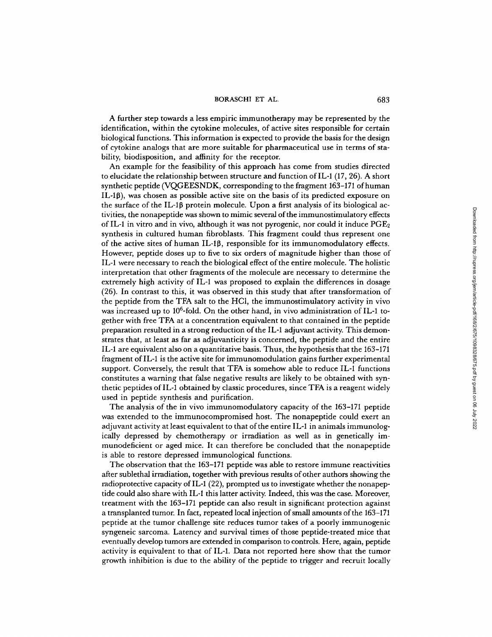## BORASCHI ET AL. 683

A further step towards a less empiric immunotherapy may be represented by the identification, within the cytokine molecules, of active sites responsible for certain biological functions. This information is expected to provide the basis for the design of cytokine analogs that are more suitable for pharmaceutical use in terms of stability, biodisposition, and affinity for the receptor.

An example for the feasibility of this approach has come from studies directed to elucidate the relationship between structure and function ofIL-1 (17, 26). A short synthetic peptide (VQGEESNDK, corresponding to the fragment 163-171 of human  $\text{IL-1}\beta$ ), was chosen as possible active site on the basis of its predicted exposure on the surface of the  $IL\text{-}1\beta$  protein molecule. Upon a first analysis of its biological activities, the nonapeptide was shown to mimic several ofthe immunostimulatory effects of IL-1 in vitro and in vivo, although it was not pyrogenic, nor could it induce  $PGE_2$ synthesis in cultured human fibroblasts. This fragment could thus represent one of the active sites of human IL-1 $\beta$ , responsible for its immunomodulatory effects. However, peptide doses up to five to six orders of magnitude higher than those of IL-1 were necessary to reach the biological effect of the entire molecule . The holistic interpretation that other fragments of the molecule are necessary to determine the extremely high activity of IL-1 was proposed to explain the differences in dosage (26) . In contrast to this, it was observed in this study that after transformation of the peptide from the TFA salt to the HCl, the immunostimulatory activity in vivo was increased up to  $10^6$ -fold. On the other hand, in vivo administration of IL-1 together with free TFA at a concentration equivalent to that contained in the peptide preparation resulted in a strong reduction of the IL-1 adjuvant activity. This demonstrates that, at least as far as adjuvanticity is concerned, the peptide and the entire IL-1 are equivalent also on a quantitative basis. Thus, the hypothesis that the 163-171 fragment of IL-1 is the active site for immunomodulation gains further experimental support. Conversely, the result that TFA is somehow able to reduce IL-1 functions constitutes a warning that false negative results are likely to be obtained with synthetic peptides of IL-1 obtained by classic procedures, since TFA is <sup>a</sup> reagent widely used in peptide synthesis and purification.

The analysis of the in vivo immunomodulatory capacity of the 163-171 peptide was extended to the immunocompromised host. The nonapeptide could exert an adjuvant activity at least equivalent to that ofthe entire IL-1 in animals immunologically depressed by chemotherapy or irradiation as well as in genetically immunodeficient or aged mice. It can therefore be concluded that the nonapeptide is able to restore depressed immunological functions.

The observation that the 163-171 peptide was able to restore immune reactivities after sublethal irradiation, together with previous results ofother authors showing the radioprotective capacity of IL-1 (22), prompted us to investigate whether the nonapeptide could also share with IL-1 this latter activity. Indeed, this was the case. Moreover, treatment with the 163-171 peptide can also result in significant protection against atransplanted tumor. In fact, repeated local injection of small amounts ofthe 163-171 peptide at the tumor challenge site reduces tumor takes of a poorly immunogenic syngeneic sarcoma. Latency and survival times of those peptide-treated mice that eventually develop tumors are extended in comparison to controls . Here, again, peptide activity is equivalent to that of IL-1 . Data not reported here show that the tumor growth inhibition is due to the ability of the peptide to trigger and recruit locally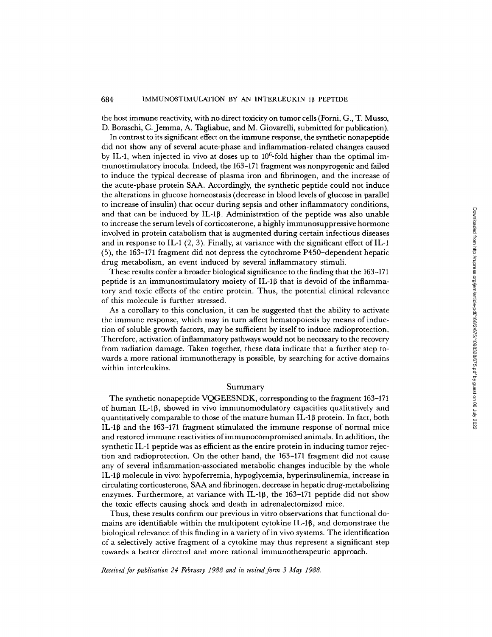the host immune reactivity, with no direct toxicity on tumor cells (Form, G., T. Musso, D. Boraschi, C. Jemma, A. Tagliabue, and M. Giovarelli, submitted for publication) .

In contrast to its significant effect on the immune response, the synthetic nonapeptide did not show any of several acute-phase and inflammation-related changes caused by IL-1, when injected in vivo at doses up to  $10^6$ -fold higher than the optimal immunostimulatory inocula. Indeed, the 163-171 fragment was nonpyrogenic and failed to induce the typical decrease of plasma iron and fibrinogen, and the increase of the acute-phase protein SAA. Accordingly, the synthetic peptide could not induce the alterations in glucose homeostasis (decrease in blood levels of glucose in parallel to increase of insulin) that occur during sepsis and other inflammatory conditions, and that can be induced by IL-1 $\beta$ . Administration of the peptide was also unable to increase the serum levels of corticosterone, a highly immunosuppressive hormone involved in protein catabolism that is augmented during certain infectious diseases and in response to IL-1  $(2, 3)$ . Finally, at variance with the significant effect of IL-1 (5), the 163-171 fragment did not depress the cytochrome P450-dependent hepatic drug metabolism, an event induced by several inflammatory stimuli.

These results confer a broader biological significance to the finding that the 163-171 peptide is an immunostimulatory moiety of IL-1 $\beta$  that is devoid of the inflammatory and toxic effects of the entire protein. Thus, the potential clinical relevance of this molecule is further stressed.

As a corollary to this conclusion, it can be suggested that the ability to activate the immune response, which may in turn affect hematopoiesis by means of induction of soluble growth factors, may be sufficient by itself to induce radioprotection. Therefore, activation of inflammatory pathways would not be necessary to the recovery from radiation damage. Taken together, these data indicate that a further step towards a more rational immunotherapy is possible, by searching for active domains within interleukins.

# Summary

The synthetic nonapeptide VQGEESNDK, corresponding to the fragment 163-171 of human IL-1 $\beta$ , showed in vivo immunomodulatory capacities qualitatively and quantitatively comparable to those of the mature human IL-10 protein. In fact, both IL-10 and the 163-171 fragment stimulated the immune response of normal mice and restored immune reactivities ofimmunocompromised animals. In addition, the synthetic IL-1 peptide was as efficient as the entire protein in inducing tumor rejection and radioprotection . On the other hand, the 163-171 fragment did not cause any of several inflammation-associated metabolic changes inducible by the whole IL-10 molecule in vivo: hypoferremia, hypoglycemia, hyperinsulinemia, increase in circulating corticosterone, SAAand fibrinogen, decrease in hepatic drug-metabolizing enzymes. Furthermore, at variance with IL-1 $\beta$ , the 163-171 peptide did not show the toxic effects causing shock and death in adrenalectomized mice. of the peptide was also unable<br>  $\gamma$  immunosuppressive hormone<br>
ring certain infectious diseases<br>
tith the significant effect of IL-1<br>
came P450-elependent hepatic<br>
ammatory stimuli.<br>
are to the finding that the 163-171<br>

Thus, these results confirm our previous in vitro observations that functional domains are identifiable within the multipotent cytokine  $IL-1\beta$ , and demonstrate the biological relevance of this finding in a variety ofin vivo systems. The identification of a selectively active fragment of a cytokine may thus represent a significant step towards a better directed and more rational immunotherapeutic approach .

Received for publication 24 February 1988 and in revised form 3 May 1988.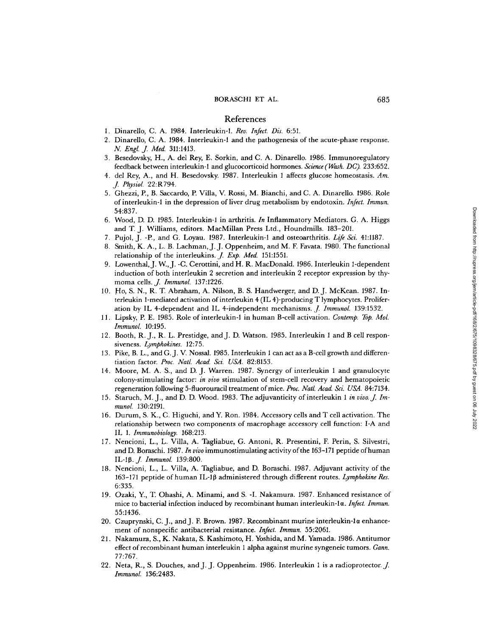## References

- 1. Dinarello, C. A. 1984. Interleukin-1. Rev. Infect. Dis. 6:51.
- 2. Dinarello, C. A. 1984. Interleukin-1 and the pathogenesis of the acute-phase response. N. Engl. J. Med. 311:1413.
- 3. Besedovsky, H., A. del Rey, E. Sorkin, and C. A. Dinarello. 1986. Immunoregulatory feedback between interleukin-1 and glucocorticoid hormones. Science (Wash. DC). 233:652.
- 4. del Rey, A., and H. Besedovsky. 1987. Interleukin 1 affects glucose homeostasis. Am.<br>*J. Physiol.* 22:R794.
- <sup>5</sup> . Ghezzi, E, B. Saccardo, P Villa, V. Rossi, M. Bianchi, and C. A. Dinarello. 1986. Role of interleukin-1 in the depression of liver drug metabolism by endotoxin. Infect. Immun. 54:837 .
- 6. Wood, D. D. 1985. Interleukin-1 in arthritis. In Inflammatory Mediators. G. A. Higgs and T. J. Williams, editors. MacMillan Press Ltd., Houndmills. 183-201.
- 7. Pujol, J. -P., and G. Loyau. 1987. Interleukin-1 and osteoarthritis. Life Sci. 41:1187.
- 8. Smith, K. A., L. B. Lachman, J. J. Oppenheim, and M. F. Favata. 1980. The functional relationship of the interleukins. *J. Exp. Med.* 151:1551.
- relationship of the interleukins. *J. Exp. Med.* 151:1551.<br>9. Lowenthal, J. W., J. -C. Cerottini, and H. R. MacDonald. 1986. Interleukin 1-dependent<br>in having a filter interleukin 2 constitution and interleukin 2 acceptor induction of both interleukin 2 secretion and interleukin 2 receptor expression by thymoma cells. *J. Immunol.* 137:1226.
- 10. Ho, S. N., R. T Abraham, A. Nilson, B. S. Handwerger, and D. J. McKean. <sup>1987</sup> . Interleukin 1-mediated activation of interleukin <sup>4</sup> (IL 4)-producing T lymphocytes. Proliferation by IL 4-dependent and IL 4-independent mechanisms. *J. Immunol.* 139:1532.
- 11. Lipsky, P. E. 1985. Role of interleukin-1 in human B-cell activation. Contemp. Top. Mol. Immunol. 10:195.
- 12. Booth, R. J., R. L. Prestidge, and J. D. Watson. 1985. Interleukin 1 and B cell responsiveness. Lymphokines. 12:75.
- 13. Pike, B. L., and G. J. V. Nossal. 1985. Interleukin 1 can act as a B-cell growth and differentiation factor. Proc. Natl. Acad. Sci. USA. 82:8153.
- 14. Moore, M. A. S., and D. J. Warren. 1987. Synerg y of interleukin <sup>1</sup> and granulocyte colony-stimulating factor: in vivo stimulation of stem-cell recovery and hematopoietic regeneration following 5-fluorouracil treatment of mice. Proc. Natl. Acad. Sci. USA. 84:7134.
- 15. Staruch, M. J., and D. D. Wood. 1983. The adjuvanticity of interleukin 1 in vivo. J. Immunol. 130:2191.
- 16 . Durum, S. K., C. Higuchi, and Y. Ron. 1984. Accessory cells and T cell activation . The relationship between two components of macrophage accessory cell function: I-A and IL 1 . Immunobiology. 168:213 .
- 17. Nencioni, L., L. Villa, A. Tagliabue, G. Antoni, R. Presentini, F. Perin, S. Silvestri, and D. Boraschi. 1987. In vivo immunostimulating activity of the 163-171 peptide of human IL-1β. *J. Immunol.* 139:800. S4337. Download from https://rupress.org/s.com/2022. Downloaded from http://rupress.org/jem/article-188-201. However,  $\frac{1}{2}$  and  $\frac{1}{2}$  and  $\frac{1}{2}$  and  $\frac{1}{2}$  and  $\frac{1}{2}$  and  $\frac{1}{2}$  and  $\frac{1}{2}$  and  $\frac{1$
- 18. Nencioni, L., L. Villa, A. Tagliabue, and D. Boraschi. 1987. Adjuvant activity of the 163-171 peptide of human IL-1 $\beta$  administered through different routes. Lymphokine Res. 6:335.
- 19 . Ozaki, Y., T Ohashi, A. Minami, and S. -1 . Nakamura. 1987. Enhance d resistance of mice to bacterial infection induced by recombinant human interleukin-1 a. Infect. Immun. 55:1436 .
- 20 . Czuprynski, C. J., and <sup>J</sup> . F Brown. 1987. Recombinant murine interleukin-la enhancement of nonspecific antibacterial resistance. Infect. Immun. 55:2061.
- 21 . Nakamura, S., K. Nakata, S. Kashimoto, H. Yoshida, and M. Yamada. 1986. Antitumor effect of recombinant human interleukin 1 alpha against murine syngeneic tumors. Gann. 77:767.
- 22. Neta, R., S. Douches, and J. J. Oppenheim. 1986. Interleukin 1 is a radioprotector. J.